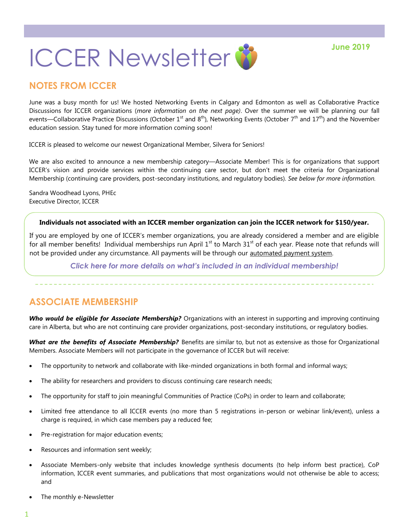# **ICCER Newsletter & Tune 2019**

## **NOTES FROM ICCER**

June was a busy month for us! We hosted Networking Events in Calgary and Edmonton as well as Collaborative Practice Discussions for ICCER organizations (*more information on the next page)*. Over the summer we will be planning our fall events—Collaborative Practice Discussions (October 1<sup>st</sup> and 8<sup>th</sup>), Networking Events (October 7<sup>th</sup> and 17<sup>th</sup>) and the November education session. Stay tuned for more information coming soon!

ICCER is pleased to welcome our newest Organizational Member, Silvera for Seniors!

We are also excited to announce a new membership category—Associate Member! This is for organizations that support ICCER's vision and provide services within the continuing care sector, but don't meet the criteria for Organizational Membership (continuing care providers, post-secondary institutions, and regulatory bodies). *See below for more information.*

Sandra Woodhead Lyons, PHEc Executive Director, ICCER

#### **Individuals not associated with an ICCER member organization can join the ICCER network for \$150/year.**

If you are employed by one of ICCER's member organizations, you are already considered a member and are eligible for all member benefits! Individual memberships run April  $1<sup>st</sup>$  to March  $31<sup>st</sup>$  of each year. Please note that refunds will not be provided under any circumstance. All payments will be through our [automated payment system.](https://payment.augustana.ualberta.ca/store/Rehab+Medicine+-+ICCER+Store/)

*[Click here for more details on what's included in an individual membership!](http://iccer.ca/im.html)*

## **ASSOCIATE MEMBERSHIP**

*Who would be eligible for Associate Membership?* Organizations with an interest in supporting and improving continuing care in Alberta, but who are not continuing care provider organizations, post-secondary institutions, or regulatory bodies.

*What are the benefits of Associate Membership?* Benefits are similar to, but not as extensive as those for Organizational Members. Associate Members will not participate in the governance of ICCER but will receive:

- The opportunity to network and collaborate with like-minded organizations in both formal and informal ways;
- The ability for researchers and providers to discuss continuing care research needs;
- The opportunity for staff to join meaningful Communities of Practice (CoPs) in order to learn and collaborate;
- Limited free attendance to all ICCER events (no more than 5 registrations in-person or webinar link/event), unless a charge is required, in which case members pay a reduced fee;
- Pre-registration for major education events;
- Resources and information sent weekly;
- Associate Members-only website that includes knowledge synthesis documents (to help inform best practice), CoP information, ICCER event summaries, and publications that most organizations would not otherwise be able to access; and
- The monthly e-Newsletter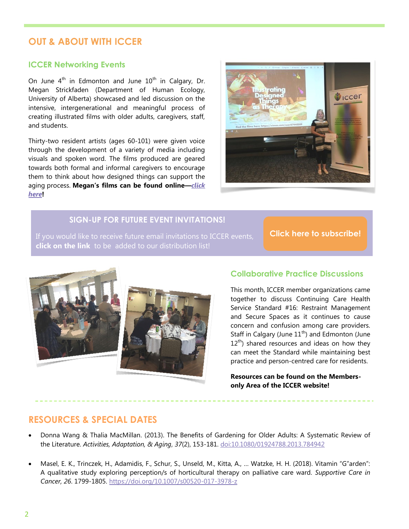## **OUT & ABOUT WITH ICCER**

#### **ICCER Networking Events**

On June  $4<sup>th</sup>$  in Edmonton and June  $10<sup>th</sup>$  in Calgary, Dr. Megan Strickfaden (Department of Human Ecology, University of Alberta) showcased and led discussion on the intensive, intergenerational and meaningful process of creating illustrated films with older adults, caregivers, staff, and students.

Thirty-two resident artists (ages 60-101) were given voice through the development of a variety of media including visuals and spoken word. The films produced are geared towards both formal and informal caregivers to encourage them to think about how designed things can support the aging process. **Megan's films can be found online—***[click](https://vimeo.com/281122808)  [here](https://vimeo.com/281122808)***!**



### **SIGN-UP FOR FUTURE EVENT INVITATIONS!**

**click on the link** to be added to our distribution list!

**[Click here to subscribe!](https://visitor.r20.constantcontact.com/manage/optin?v=001MqUcqqvjwLD850nipaor0HtdI1Y9d8ED2u9ivDzRV7Gp5uTyf2p54vfsufOQXL7BcGZnnLM-9yRAw3TIqncd_CNV4yZzfE9gE8XUs-KE6So%3D)**



#### **Collaborative Practice Discussions**

This month, ICCER member organizations came together to discuss Continuing Care Health Service Standard #16: Restraint Management and Secure Spaces as it continues to cause concern and confusion among care providers. Staff in Calgary (June  $11<sup>th</sup>$ ) and Edmonton (June  $12<sup>th</sup>$ ) shared resources and ideas on how they can meet the Standard while maintaining best practice and person-centred care for residents.

**Resources can be found on the Membersonly Area of the ICCER website!**

## **RESOURCES & SPECIAL DATES**

- Donna Wang & Thalia MacMillan. (2013). The Benefits of Gardening for Older Adults: A Systematic Review of the Literature. *Activities, Adaptation, & Aging*, *37*(2), 153-181. [doi:10.1080/01924788.2013.784942](https://www.tandfonline.com/doi/full/10.1080/01924788.2013.784942)
- Masel, E. K., Trinczek, H., Adamidis, F., Schur, S., Unseld, M., Kitta, A., … Watzke, H. H. (2018). Vitamin "G"arden": A qualitative study exploring perception/s of horticultural therapy on palliative care ward. *Supportive Care in Cancer, 26*. 1799-1805.<https://doi.org/10.1007/s00520-017-3978-z>